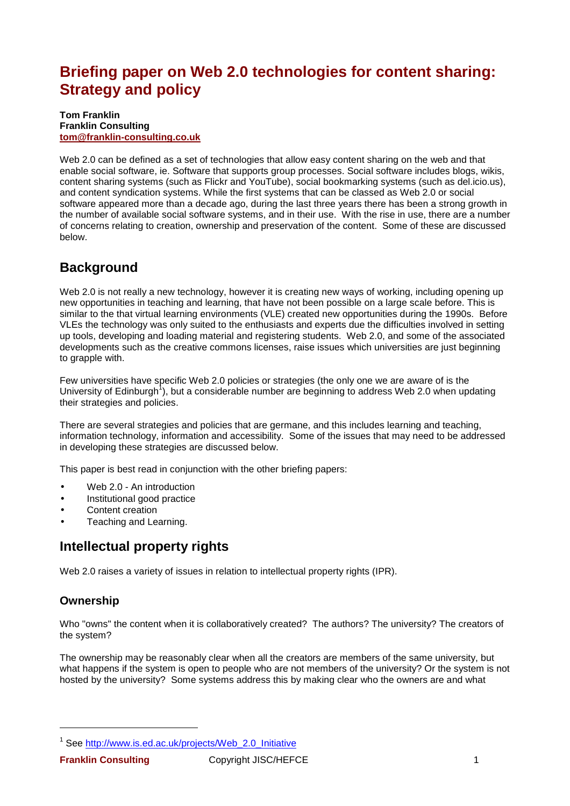# **Briefing paper on Web 2.0 technologies for content sharing: Strategy and policy**

#### **Tom Franklin Franklin Consulting tom@franklin-consulting.co.uk**

Web 2.0 can be defined as a set of technologies that allow easy content sharing on the web and that enable social software, ie. Software that supports group processes. Social software includes blogs, wikis, content sharing systems (such as Flickr and YouTube), social bookmarking systems (such as del.icio.us), and content syndication systems. While the first systems that can be classed as Web 2.0 or social software appeared more than a decade ago, during the last three years there has been a strong growth in the number of available social software systems, and in their use. With the rise in use, there are a number of concerns relating to creation, ownership and preservation of the content. Some of these are discussed below.

## **Background**

Web 2.0 is not really a new technology, however it is creating new ways of working, including opening up new opportunities in teaching and learning, that have not been possible on a large scale before. This is similar to the that virtual learning environments (VLE) created new opportunities during the 1990s. Before VLEs the technology was only suited to the enthusiasts and experts due the difficulties involved in setting up tools, developing and loading material and registering students. Web 2.0, and some of the associated developments such as the creative commons licenses, raise issues which universities are just beginning to grapple with.

Few universities have specific Web 2.0 policies or strategies (the only one we are aware of is the University of Edinburgh<sup>1</sup>), but a considerable number are beginning to address Web 2.0 when updating their strategies and policies.

There are several strategies and policies that are germane, and this includes learning and teaching, information technology, information and accessibility. Some of the issues that may need to be addressed in developing these strategies are discussed below.

This paper is best read in conjunction with the other briefing papers:

- Web 2.0 An introduction
- Institutional good practice
- Content creation
- Teaching and Learning.

## **Intellectual property rights**

Web 2.0 raises a variety of issues in relation to intellectual property rights (IPR).

### **Ownership**

Who "owns" the content when it is collaboratively created? The authors? The university? The creators of the system?

The ownership may be reasonably clear when all the creators are members of the same university, but what happens if the system is open to people who are not members of the university? Or the system is not hosted by the university? Some systems address this by making clear who the owners are and what

l

<sup>&</sup>lt;sup>1</sup> See http://www.is.ed.ac.uk/projects/Web\_2.0\_Initiative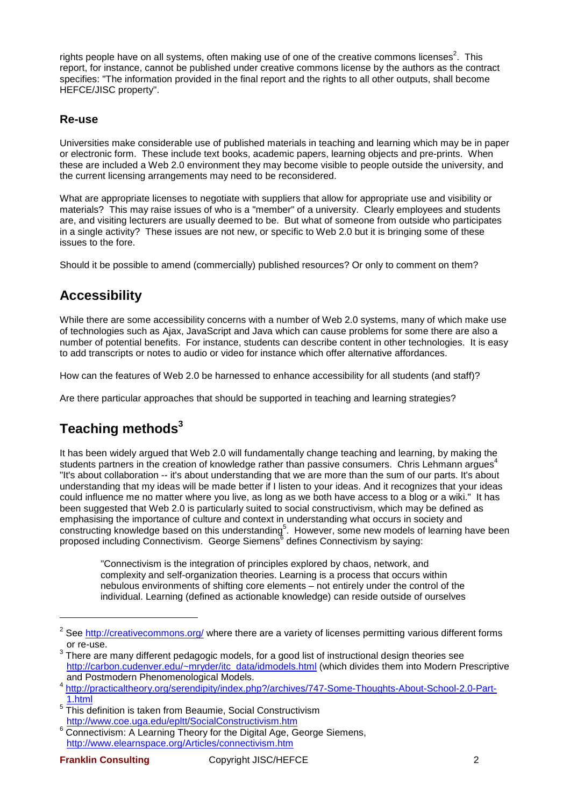rights people have on all systems, often making use of one of the creative commons licenses<sup>2</sup>. This report, for instance, cannot be published under creative commons license by the authors as the contract specifies: "The information provided in the final report and the rights to all other outputs, shall become HEFCE/JISC property".

#### **Re-use**

Universities make considerable use of published materials in teaching and learning which may be in paper or electronic form. These include text books, academic papers, learning objects and pre-prints. When these are included a Web 2.0 environment they may become visible to people outside the university, and the current licensing arrangements may need to be reconsidered.

What are appropriate licenses to negotiate with suppliers that allow for appropriate use and visibility or materials? This may raise issues of who is a "member" of a university. Clearly employees and students are, and visiting lecturers are usually deemed to be. But what of someone from outside who participates in a single activity? These issues are not new, or specific to Web 2.0 but it is bringing some of these issues to the fore.

Should it be possible to amend (commercially) published resources? Or only to comment on them?

## **Accessibility**

While there are some accessibility concerns with a number of Web 2.0 systems, many of which make use of technologies such as Ajax, JavaScript and Java which can cause problems for some there are also a number of potential benefits. For instance, students can describe content in other technologies. It is easy to add transcripts or notes to audio or video for instance which offer alternative affordances.

How can the features of Web 2.0 be harnessed to enhance accessibility for all students (and staff)?

Are there particular approaches that should be supported in teaching and learning strategies?

# **Teaching methods<sup>3</sup>**

It has been widely argued that Web 2.0 will fundamentally change teaching and learning, by making the students partners in the creation of knowledge rather than passive consumers. Chris Lehmann argues<sup>4</sup> "It's about collaboration -- it's about understanding that we are more than the sum of our parts. It's about understanding that my ideas will be made better if I listen to your ideas. And it recognizes that your ideas could influence me no matter where you live, as long as we both have access to a blog or a wiki." It has been suggested that Web 2.0 is particularly suited to social constructivism, which may be defined as emphasising the importance of culture and context in understanding what occurs in society and constructing knowledge based on this understanding<sup>5</sup>. However, some new models of learning have been proposed including Connectivism. George Siemens $\overline{6}$  defines Connectivism by saying:

"Connectivism is the integration of principles explored by chaos, network, and complexity and self-organization theories. Learning is a process that occurs within nebulous environments of shifting core elements – not entirely under the control of the individual. Learning (defined as actionable knowledge) can reside outside of ourselves

l

<sup>2</sup> See http://creativecommons.org/ where there are a variety of licenses permitting various different forms or re-use.

 $^3$  There are many different pedagogic models, for a good list of instructional design theories see http://carbon.cudenver.edu/~mryder/itc\_data/idmodels.html (which divides them into Modern Prescriptive and Postmodern Phenomenological Models.

<sup>4</sup> http://practicaltheory.org/serendipity/index.php?/archives/747-Some-Thoughts-About-School-2.0-Part-1.html

<sup>5</sup> This definition is taken from Beaumie, Social Constructivism http://www.coe.uga.edu/epltt/SocialConstructivism.htm

<sup>&</sup>lt;sup>6</sup> Connectivism: A Learning Theory for the Digital Age, George Siemens, http://www.elearnspace.org/Articles/connectivism.htm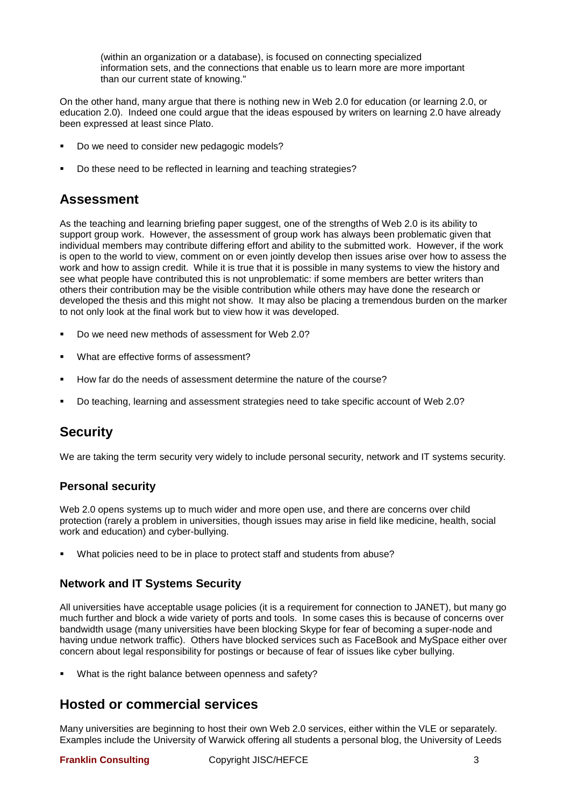(within an organization or a database), is focused on connecting specialized information sets, and the connections that enable us to learn more are more important than our current state of knowing."

On the other hand, many argue that there is nothing new in Web 2.0 for education (or learning 2.0, or education 2.0). Indeed one could argue that the ideas espoused by writers on learning 2.0 have already been expressed at least since Plato.

- Do we need to consider new pedagogic models?
- Do these need to be reflected in learning and teaching strategies?

### **Assessment**

As the teaching and learning briefing paper suggest, one of the strengths of Web 2.0 is its ability to support group work. However, the assessment of group work has always been problematic given that individual members may contribute differing effort and ability to the submitted work. However, if the work is open to the world to view, comment on or even jointly develop then issues arise over how to assess the work and how to assign credit. While it is true that it is possible in many systems to view the history and see what people have contributed this is not unproblematic: if some members are better writers than others their contribution may be the visible contribution while others may have done the research or developed the thesis and this might not show. It may also be placing a tremendous burden on the marker to not only look at the final work but to view how it was developed.

- Do we need new methods of assessment for Web 2.0?
- What are effective forms of assessment?
- How far do the needs of assessment determine the nature of the course?
- Do teaching, learning and assessment strategies need to take specific account of Web 2.0?

## **Security**

We are taking the term security very widely to include personal security, network and IT systems security.

#### **Personal security**

Web 2.0 opens systems up to much wider and more open use, and there are concerns over child protection (rarely a problem in universities, though issues may arise in field like medicine, health, social work and education) and cyber-bullying.

What policies need to be in place to protect staff and students from abuse?

#### **Network and IT Systems Security**

All universities have acceptable usage policies (it is a requirement for connection to JANET), but many go much further and block a wide variety of ports and tools. In some cases this is because of concerns over bandwidth usage (many universities have been blocking Skype for fear of becoming a super-node and having undue network traffic). Others have blocked services such as FaceBook and MySpace either over concern about legal responsibility for postings or because of fear of issues like cyber bullying.

What is the right balance between openness and safety?

### **Hosted or commercial services**

Many universities are beginning to host their own Web 2.0 services, either within the VLE or separately. Examples include the University of Warwick offering all students a personal blog, the University of Leeds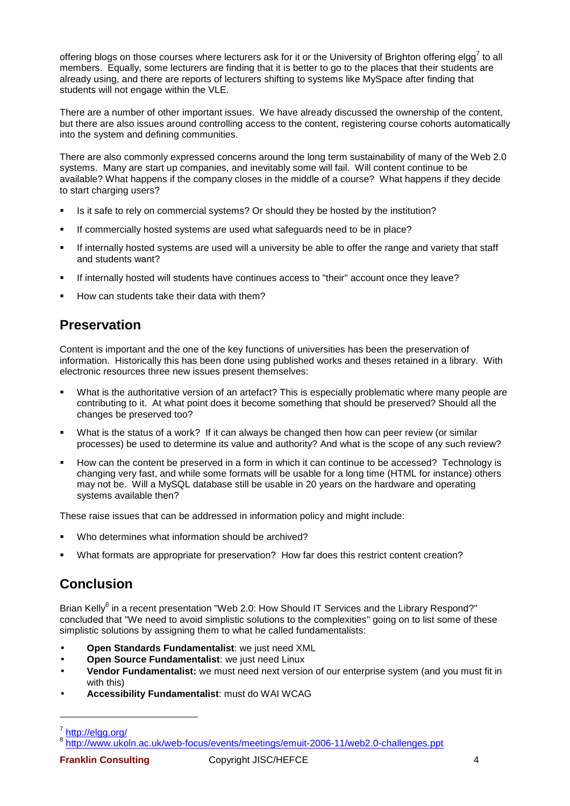offering blogs on those courses where lecturers ask for it or the University of Brighton offering elgg<sup>7</sup> to all members. Equally, some lecturers are finding that it is better to go to the places that their students are already using, and there are reports of lecturers shifting to systems like MySpace after finding that students will not engage within the VLE.

There are a number of other important issues. We have already discussed the ownership of the content, but there are also issues around controlling access to the content, registering course cohorts automatically into the system and defining communities.

There are also commonly expressed concerns around the long term sustainability of many of the Web 2.0 systems. Many are start up companies, and inevitably some will fail. Will content continue to be available? What happens if the company closes in the middle of a course? What happens if they decide to start charging users?

- Is it safe to rely on commercial systems? Or should they be hosted by the institution?
- If commercially hosted systems are used what safeguards need to be in place?
- If internally hosted systems are used will a university be able to offer the range and variety that staff and students want?
- If internally hosted will students have continues access to "their" account once they leave?
- How can students take their data with them?

## **Preservation**

Content is important and the one of the key functions of universities has been the preservation of information. Historically this has been done using published works and theses retained in a library. With electronic resources three new issues present themselves:

- What is the authoritative version of an artefact? This is especially problematic where many people are contributing to it. At what point does it become something that should be preserved? Should all the changes be preserved too?
- What is the status of a work? If it can always be changed then how can peer review (or similar processes) be used to determine its value and authority? And what is the scope of any such review?
- How can the content be preserved in a form in which it can continue to be accessed? Technology is changing very fast, and while some formats will be usable for a long time (HTML for instance) others may not be. Will a MySQL database still be usable in 20 years on the hardware and operating systems available then?

These raise issues that can be addressed in information policy and might include:

- Who determines what information should be archived?
- What formats are appropriate for preservation? How far does this restrict content creation?

# **Conclusion**

Brian Kelly<sup>8</sup> in a recent presentation "Web 2.0: How Should IT Services and the Library Respond?" concluded that "We need to avoid simplistic solutions to the complexities" going on to list some of these simplistic solutions by assigning them to what he called fundamentalists:

- **Open Standards Fundamentalist**: we just need XML
- **Open Source Fundamentalist**: we just need Linux
- **Vendor Fundamentalist:** we must need next version of our enterprise system (and you must fit in with this)
- **Accessibility Fundamentalist**: must do WAI WCAG

l

<sup>7</sup> http://elgg.org/

<sup>&</sup>lt;sup>8</sup> http://www.ukoln.ac.uk/web-focus/events/meetings/emuit-2006-11/web2.0-challenges.ppt